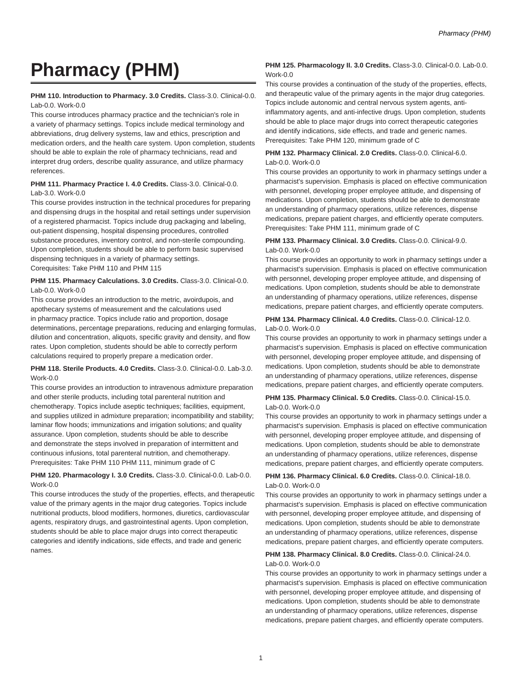# **Pharmacy (PHM)**

### **PHM 110. Introduction to Pharmacy. 3.0 Credits.** Class-3.0. Clinical-0.0. Lab-0.0. Work-0.0

This course introduces pharmacy practice and the technician's role in a variety of pharmacy settings. Topics include medical terminology and abbreviations, drug delivery systems, law and ethics, prescription and medication orders, and the health care system. Upon completion, students should be able to explain the role of pharmacy technicians, read and interpret drug orders, describe quality assurance, and utilize pharmacy references.

### **PHM 111. Pharmacy Practice I. 4.0 Credits.** Class-3.0. Clinical-0.0. Lab-3.0. Work-0.0

This course provides instruction in the technical procedures for preparing and dispensing drugs in the hospital and retail settings under supervision of a registered pharmacist. Topics include drug packaging and labeling, out-patient dispensing, hospital dispensing procedures, controlled substance procedures, inventory control, and non-sterile compounding. Upon completion, students should be able to perform basic supervised dispensing techniques in a variety of pharmacy settings. Corequisites: Take PHM 110 and PHM 115

# **PHM 115. Pharmacy Calculations. 3.0 Credits.** Class-3.0. Clinical-0.0. Lab-0.0. Work-0.0

This course provides an introduction to the metric, avoirdupois, and apothecary systems of measurement and the calculations used in pharmacy practice. Topics include ratio and proportion, dosage determinations, percentage preparations, reducing and enlarging formulas, dilution and concentration, aliquots, specific gravity and density, and flow rates. Upon completion, students should be able to correctly perform calculations required to properly prepare a medication order.

## **PHM 118. Sterile Products. 4.0 Credits.** Class-3.0. Clinical-0.0. Lab-3.0. Work-0.0

This course provides an introduction to intravenous admixture preparation and other sterile products, including total parenteral nutrition and chemotherapy. Topics include aseptic techniques; facilities, equipment, and supplies utilized in admixture preparation; incompatibility and stability; laminar flow hoods; immunizations and irrigation solutions; and quality assurance. Upon completion, students should be able to describe and demonstrate the steps involved in preparation of intermittent and continuous infusions, total parenteral nutrition, and chemotherapy. Prerequisites: Take PHM 110 PHM 111, minimum grade of C

#### **PHM 120. Pharmacology I. 3.0 Credits.** Class-3.0. Clinical-0.0. Lab-0.0. Work-0.0

This course introduces the study of the properties, effects, and therapeutic value of the primary agents in the major drug categories. Topics include nutritional products, blood modifiers, hormones, diuretics, cardiovascular agents, respiratory drugs, and gastrointestinal agents. Upon completion, students should be able to place major drugs into correct therapeutic categories and identify indications, side effects, and trade and generic names.

## **PHM 125. Pharmacology II. 3.0 Credits.** Class-3.0. Clinical-0.0. Lab-0.0. Work-0.0

This course provides a continuation of the study of the properties, effects, and therapeutic value of the primary agents in the major drug categories. Topics include autonomic and central nervous system agents, antiinflammatory agents, and anti-infective drugs. Upon completion, students should be able to place major drugs into correct therapeutic categories and identify indications, side effects, and trade and generic names. Prerequisites: Take PHM 120, minimum grade of C

# **PHM 132. Pharmacy Clinical. 2.0 Credits.** Class-0.0. Clinical-6.0. Lab-0.0. Work-0.0

This course provides an opportunity to work in pharmacy settings under a pharmacist's supervision. Emphasis is placed on effective communication with personnel, developing proper employee attitude, and dispensing of medications. Upon completion, students should be able to demonstrate an understanding of pharmacy operations, utilize references, dispense medications, prepare patient charges, and efficiently operate computers. Prerequisites: Take PHM 111, minimum grade of C

## **PHM 133. Pharmacy Clinical. 3.0 Credits.** Class-0.0. Clinical-9.0. Lab-0.0. Work-0.0

This course provides an opportunity to work in pharmacy settings under a pharmacist's supervision. Emphasis is placed on effective communication with personnel, developing proper employee attitude, and dispensing of medications. Upon completion, students should be able to demonstrate an understanding of pharmacy operations, utilize references, dispense medications, prepare patient charges, and efficiently operate computers.

# **PHM 134. Pharmacy Clinical. 4.0 Credits.** Class-0.0. Clinical-12.0. Lab-0.0. Work-0.0

This course provides an opportunity to work in pharmacy settings under a pharmacist's supervision. Emphasis is placed on effective communication with personnel, developing proper employee attitude, and dispensing of medications. Upon completion, students should be able to demonstrate an understanding of pharmacy operations, utilize references, dispense medications, prepare patient charges, and efficiently operate computers.

# **PHM 135. Pharmacy Clinical. 5.0 Credits.** Class-0.0. Clinical-15.0. Lab-0.0. Work-0.0

This course provides an opportunity to work in pharmacy settings under a pharmacist's supervision. Emphasis is placed on effective communication with personnel, developing proper employee attitude, and dispensing of medications. Upon completion, students should be able to demonstrate an understanding of pharmacy operations, utilize references, dispense medications, prepare patient charges, and efficiently operate computers.

#### **PHM 136. Pharmacy Clinical. 6.0 Credits.** Class-0.0. Clinical-18.0. Lab-0.0. Work-0.0

This course provides an opportunity to work in pharmacy settings under a pharmacist's supervision. Emphasis is placed on effective communication with personnel, developing proper employee attitude, and dispensing of medications. Upon completion, students should be able to demonstrate an understanding of pharmacy operations, utilize references, dispense medications, prepare patient charges, and efficiently operate computers.

# **PHM 138. Pharmacy Clinical. 8.0 Credits.** Class-0.0. Clinical-24.0. Lab-0.0. Work-0.0

This course provides an opportunity to work in pharmacy settings under a pharmacist's supervision. Emphasis is placed on effective communication with personnel, developing proper employee attitude, and dispensing of medications. Upon completion, students should be able to demonstrate an understanding of pharmacy operations, utilize references, dispense medications, prepare patient charges, and efficiently operate computers.